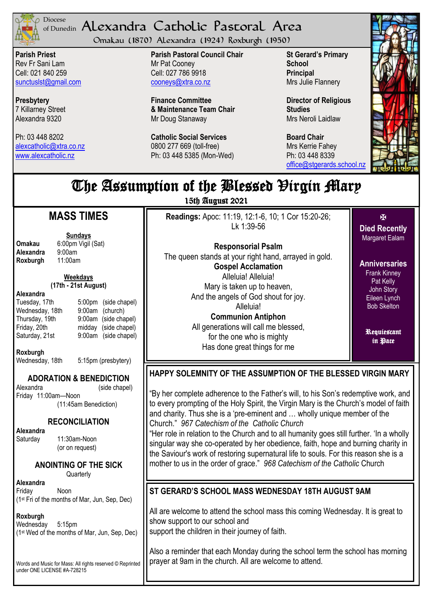

#### <sup>Diocese</sup> Alexandra Catholic Pastoral Area of Dunedin

Omakau (1870) Alexandra (1924) Roxburgh (1950)

**Parish Priest** Rev Fr Sani Lam Cell: 021 840 259 [sunctuslst@gmail.com](mailto:mailto:sunctuslst@gmail.com)

**Presbytery** 7 Killarney Street Alexandra 9320

Ph: 03 448 8202 [alexcatholic@xtra.co.nz](mailto:mailto:alexcatholic@xtra.co.nz) www.alexcatholic.nz

**Parish Pastoral Council Chair** Mr Pat Cooney Cell: 027 786 9918 cooneys@xtra.co.nz

**Finance Committee & Maintenance Team Chair** Mr Doug Stanaway

**Catholic Social Services**  0800 277 669 (toll-free) Ph: 03 448 5385 (Mon-Wed) **St Gerard's Primary School Principal** Mrs Julie Flannery

**Director of Religious Studies** Mrs Neroli Laidlaw

**Board Chair** Mrs Kerrie Fahey Ph: 03 448 8339 [office@stgerards.school.nz](mailto:mailto:office@stgerards.school.nz)



# The Assumption of the Blessed Virgin Mary

15th August 2021

# **MASS TIMES**

**Omakau** 6:00pm Vigil (Sat)<br>**Alexandra** 9:00am **Alexandra** 9:00am<br>**Roxburgh** 11:00am **Roxburgh** 

**Sundays**

# **Weekdays**

#### **(17th - 21st August)**

**Alexandra**

Tuesday, 17th 5:00pm (side chapel) Wednesday, 18th 9:00am (church)<br>Thursday, 19th 9:00am (side cha 9:00am (side chapel) Friday, 20th midday (side chapel) Saturday, 21st 9:00am (side chapel)

**Roxburgh**

Wednesday, 18th 5:15pm (presbytery)

# **ADORATION & BENEDICTION**

Alexandra (side chapel) Friday 11:00am—Noon (11:45am Benediction)

# **RECONCILIATION**

**Alexandra** 

Saturday 11:30am-Noon (or on request)

# **ANOINTING OF THE SICK**

**Quarterly** 

**Alexandra** Friday Noon (1st Fri of the months of Mar, Jun, Sep, Dec)

#### **Roxburgh**

Wednesday 5:15pm (1st Wed of the months of Mar, Jun, Sep, Dec)

Words and Music for Mass: All rights reserved © Reprinted under ONE LICENSE #A-728215

**Readings:** Apoc: 11:19, 12:1-6, 10; 1 Cor 15:20-26; Lk 1:39-56

**Responsorial Psalm** The queen stands at your right hand, arrayed in gold. **Gospel Acclamation** Alleluia! Alleluia! Mary is taken up to heaven, And the angels of God shout for joy. Alleluia! **Communion Antiphon** All generations will call me blessed, for the one who is mighty

Has done great things for me

区 **Died Recently** Margaret Ealam

**Anniversaries** Frank Kinney **Pat Kelly** John Story Eileen Lynch Bob Skelton

Requiescant in Pace

# **HAPPY SOLEMNITY OF THE ASSUMPTION OF THE BLESSED VIRGIN MARY**

"By her complete adherence to the Father"s will, to his Son"s redemptive work, and to every prompting of the Holy Spirit, the Virgin Mary is the Church"s model of faith and charity. Thus she is a "pre-eminent and … wholly unique member of the Church." *967 Catechism of the Catholic Church*

"Her role in relation to the Church and to all humanity goes still further. "In a wholly singular way she co-operated by her obedience, faith, hope and burning charity in the Saviour's work of restoring supernatural life to souls. For this reason she is a mother to us in the order of grace." *968 Catechism of the Catholic* Church

# **ST GERARD'S SCHOOL MASS WEDNESDAY 18TH AUGUST 9AM**

All are welcome to attend the school mass this coming Wednesday. It is great to show support to our school and support the children in their journey of faith.

Also a reminder that each Monday during the school term the school has morning prayer at 9am in the church. All are welcome to attend.